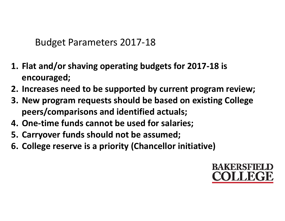Budget Parameters 2017-18

- 1. Flat and/or shaving operating budgets for 2017-18 is encouraged;
- 2. Increases need to be supported by current program review;
- 3. New program requests should be based on existing College peers/comparisons and identified actuals;
- 4. One-time funds cannot be used for salaries;
- 5. Carryover funds should not be assumed;
- 6. College reserve is a priority (Chancellor initiative)